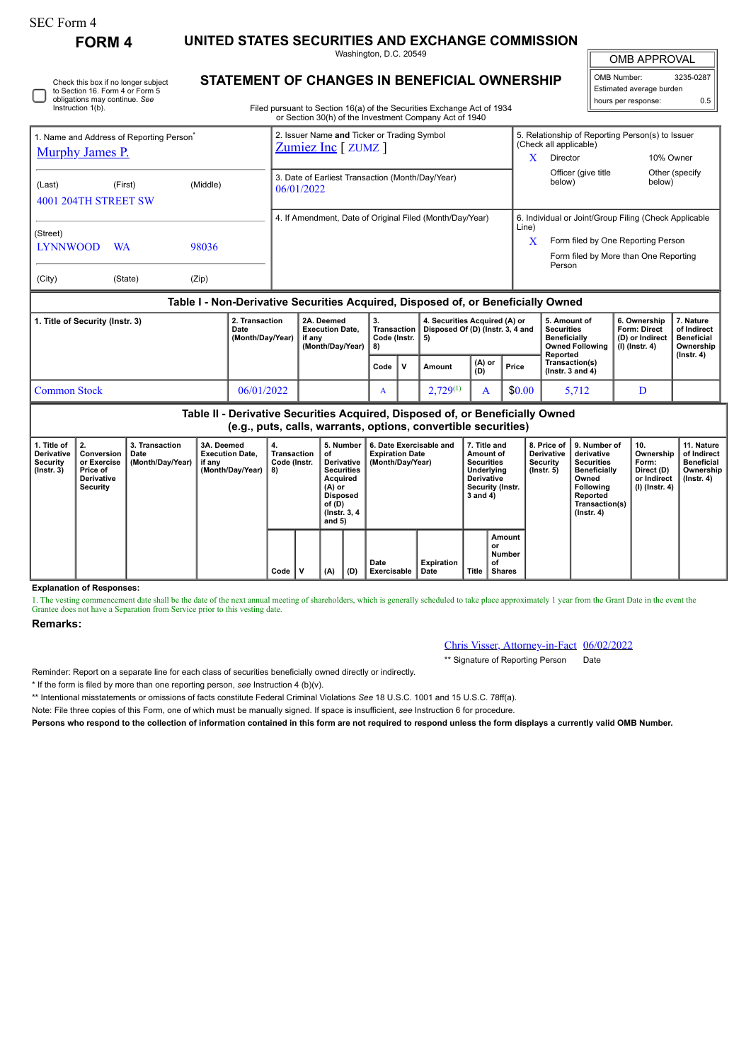## SEC Form 4

Instruction 1(b).

Check this box if no longer subject to Section 16. Form 4 or Form 5 obligations may continue. *See*

**FORM 4 UNITED STATES SECURITIES AND EXCHANGE COMMISSION**

Washington, D.C. 20549 **STATEMENT OF CHANGES IN BENEFICIAL OWNERSHIP**

OMB APPROVAL

| OMB Number:              | 3235-0287 |  |  |  |  |  |  |  |  |
|--------------------------|-----------|--|--|--|--|--|--|--|--|
| Estimated average burden |           |  |  |  |  |  |  |  |  |
| hours per response:      | 0.5       |  |  |  |  |  |  |  |  |

Filed pursuant to Section 16(a) of the Securities Exchange Act of 1934 or Section 30(h) of the Investment Company Act of 1940

| 1. Name and Address of Reporting Person <sup>®</sup>      |           |          |  | 2. Issuer Name and Ticker or Trading Symbol<br>Zumiez Inc [ ZUMZ ] |                   |                                                                                  | 5. Relationship of Reporting Person(s) to Issuer<br>(Check all applicable) |                                                 |                                     |                          |  |  |
|-----------------------------------------------------------|-----------|----------|--|--------------------------------------------------------------------|-------------------|----------------------------------------------------------------------------------|----------------------------------------------------------------------------|-------------------------------------------------|-------------------------------------|--------------------------|--|--|
| <b>Murphy James P.</b>                                    |           |          |  |                                                                    |                   |                                                                                  | X                                                                          | Director                                        |                                     | 10% Owner                |  |  |
| (Last)<br>4001 204TH STREET SW                            | (First)   | (Middle) |  | 3. Date of Earliest Transaction (Month/Day/Year)<br>06/01/2022     |                   |                                                                                  |                                                                            | Officer (give title)<br>below)                  | below)                              | Other (specify           |  |  |
|                                                           |           |          |  |                                                                    |                   | 4. If Amendment, Date of Original Filed (Month/Day/Year)                         | 6. Individual or Joint/Group Filing (Check Applicable                      |                                                 |                                     |                          |  |  |
| (Street)                                                  |           |          |  |                                                                    |                   |                                                                                  | Line)<br>x                                                                 | Form filed by One Reporting Person              |                                     |                          |  |  |
| <b>LYNNWOOD</b>                                           | <b>WA</b> | 98036    |  |                                                                    |                   |                                                                                  |                                                                            | Form filed by More than One Reporting<br>Person |                                     |                          |  |  |
| (City)                                                    | (State)   | (Zip)    |  |                                                                    |                   |                                                                                  |                                                                            |                                                 |                                     |                          |  |  |
|                                                           |           |          |  |                                                                    |                   | Table I - Non-Derivative Securities Acquired, Disposed of, or Beneficially Owned |                                                                            |                                                 |                                     |                          |  |  |
| 2. Transaction<br>1. Title of Security (Instr. 3)<br>Date |           |          |  | 2A. Deemed<br><b>Execution Date.</b>                               | 3.<br>Transaction | 4. Securities Acquired (A) or<br>Disposed Of (D) (Instr. 3, 4 and                |                                                                            | 5. Amount of<br><b>Securities</b>               | 6. Ownership<br><b>Form: Direct</b> | 7. Nature<br>of Indirect |  |  |

|              | Dale<br>(Month/Day/Year) | LACULIUII DALC.<br>if anv<br>(Month/Dav/Year) | Code (Instr. $  5$ )<br>8) |     | $\mu$ in all saction $\mu$ bisposed of (b) (institute and |               |        | <b>Jecurius</b><br><b>Beneficially</b><br>Owned Following   (I) (Instr. 4)<br>Reported | 1 VIIII. VII GUL<br>(D) or Indirect | vi illullett<br><b>Beneficial</b><br>Ownership<br>$($ lnstr. 4 $)$ |
|--------------|--------------------------|-----------------------------------------------|----------------------------|-----|-----------------------------------------------------------|---------------|--------|----------------------------------------------------------------------------------------|-------------------------------------|--------------------------------------------------------------------|
|              |                          |                                               | Code                       | . v | Amount                                                    | (A) or<br>(D) | Price  | Transaction(s)<br>( $lnstr.$ 3 and 4)                                                  |                                     |                                                                    |
| Common Stock | 06/01/2022               |                                               |                            |     | $2.729^{(1)}$                                             |               | \$0.00 | 5712                                                                                   |                                     |                                                                    |

**Table II - Derivative Securities Acquired, Disposed of, or Beneficially Owned (e.g., puts, calls, warrants, options, convertible securities)**

| 1. Title of<br><b>Derivative</b><br><b>Security</b><br>$($ lnstr. 3 $)$ | 2.<br>Conversion<br>or Exercise<br>Price of<br><b>Derivative</b><br>Security | 3. Transaction<br>Date<br>(Month/Day/Year) | 3A. Deemed<br><b>Execution Date.</b><br>if any<br>(Month/Day/Year) | 4.<br>Transaction<br>Code (Instr.<br>8) |  | _5. Number ∤<br>οf<br>Derivative<br><b>Securities</b><br>Acquired<br>$(A)$ or<br>Disposed<br>of (D)<br>(Instr. 3, 4)<br>and $5)$<br>(A)<br>(D) |  | 6. Date Exercisable and<br><b>Expiration Date</b><br>(Month/Dav/Year) | 7. Title and<br>Amount of<br><b>Securities</b><br>Underlying<br>Derivative<br>Security (Instr.<br>3 and 4) |       | 8. Price of I<br>Derivative<br>Security<br>$($ lnstr. 5 $)$ | l 9. Number of<br>derivative<br><b>Securities</b><br><b>Beneficially</b><br>Owned<br><b>Following</b><br>Reported<br>Transaction(s)<br>$($ Instr. 4 $)$ | 10.<br>Ownership<br>Form:<br>Direct (D)<br>or Indirect<br>(I) (Instr. 4) | 11. Nature<br>of Indirect<br><b>Beneficial</b><br>Ownership<br>$($ lnstr. 4 $)$ |
|-------------------------------------------------------------------------|------------------------------------------------------------------------------|--------------------------------------------|--------------------------------------------------------------------|-----------------------------------------|--|------------------------------------------------------------------------------------------------------------------------------------------------|--|-----------------------------------------------------------------------|------------------------------------------------------------------------------------------------------------|-------|-------------------------------------------------------------|---------------------------------------------------------------------------------------------------------------------------------------------------------|--------------------------------------------------------------------------|---------------------------------------------------------------------------------|
|                                                                         |                                                                              |                                            |                                                                    | Code                                    |  |                                                                                                                                                |  | Date<br><b>Exercisable</b>                                            | <b>Expiration</b><br>Date                                                                                  | Title | Amount<br>or<br>Number<br>οf<br><b>Shares</b>               |                                                                                                                                                         |                                                                          |                                                                                 |

**Explanation of Responses:**

1. The vesting commencement date shall be the date of the next annual meeting of shareholders, which is generally scheduled to take place approximately 1 year from the Grant Date in the event the Grantee does not have a Separation from Service prior to this vesting date.

## **Remarks:**

Chris Visser, Attorney-in-Fact 06/02/2022

\*\* Signature of Reporting Person Date

Reminder: Report on a separate line for each class of securities beneficially owned directly or indirectly.

\* If the form is filed by more than one reporting person, *see* Instruction 4 (b)(v).

\*\* Intentional misstatements or omissions of facts constitute Federal Criminal Violations *See* 18 U.S.C. 1001 and 15 U.S.C. 78ff(a).

Note: File three copies of this Form, one of which must be manually signed. If space is insufficient, *see* Instruction 6 for procedure.

**Persons who respond to the collection of information contained in this form are not required to respond unless the form displays a currently valid OMB Number.**